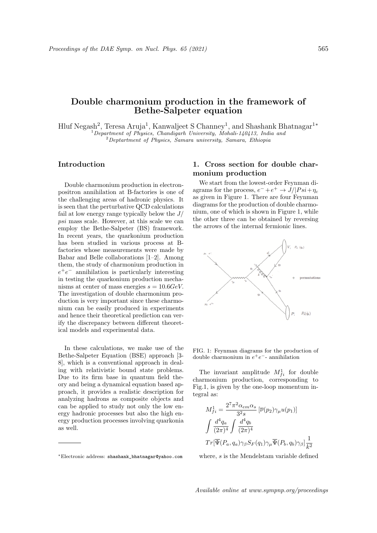## Double charmonium production in the framework of Bethe-Salpeter equation

Hluf Negash<sup>2</sup>, Teresa Aruja<sup>1</sup>, Kanwaljeet S Channey<sup>1</sup>, and Shashank Bhatnagar<sup>1∗</sup>  $1$ Department of Physics, Chandigarh University, Mohali-140413, India and  $2$ Deptartment of Physics, Samara university, Samara, Ethiopia

## Introduction

Double charmonium production in electronpositron annihilation at B-factories is one of the challenging areas of hadronic physics. It is seen that the perturbative QCD calculations fail at low energy range typically below the  $J/$ psi mass scale. However, at this scale we can employ the Bethe-Salpeter (BS) framework. In recent years, the quarkonium production has been studied in various process at Bfactories whose measurements were made by Babar and Belle collaborations [1–2]. Among them, the study of charmonium production in  $e^+e^-$  annihilation is particularly interesting in testing the quarkonium production mechanisms at center of mass energies  $s = 10.6 GeV$ . The investigation of double charmonium production is very important since these charmonium can be easily produced in experiments and hence their theoretical prediction can verify the discrepancy between different theoretical models and experimental data.

In these calculations, we make use of the Bethe-Salpeter Equation (BSE) approach [3- 8], which is a conventional approach in dealing with relativistic bound state problems. Due to its firm base in quantum field theory and being a dynamical equation based approach, it provides a realistic description for analyzing hadrons as composite objects and can be applied to study not only the low energy hadronic processes but also the high energy production processes involving quarkonia as well.

## 1. Cross section for double charmonium production

We start from the lowest-order Feynman diagrams for the process,  $e^- + e^+ \rightarrow J/|Psi + \eta_c$ as given in Figure 1. There are four Feynman diagrams for the production of double charmonium, one of which is shown in Figure 1, while the other three can be obtained by reversing the arrows of the internal fermionic lines.



FIG. 1: Feynman diagrams for the production of double charmonium in  $e^+e^-$ - annihilation

The invariant amplitude  $M_{fi}^1$  for double charmonium production, corresponding to Fig.1, is given by the one-loop momentum integral as:

$$
M_{fi}^1 = \frac{2^7 \pi^2 \alpha_{em} \alpha_s}{3^2 s} \left[ \overline{\nu}(p_2) \gamma_\mu u(p_1) \right]
$$

$$
\int \frac{d^4 q_a}{(2\pi)^4} \int \frac{d^4 q_b}{(2\pi)^4}
$$

$$
Tr \left[ \overline{\Psi}(P_a, q_a) \gamma_\beta S_F(q_1) \gamma_\mu \overline{\Psi}(P_b, q_b) \gamma_\beta \right] \frac{1}{k^2}
$$

where, s is the Mendelstam variable defined

<sup>∗</sup>Electronic address: shashank\_bhatnagar@yahoo.com